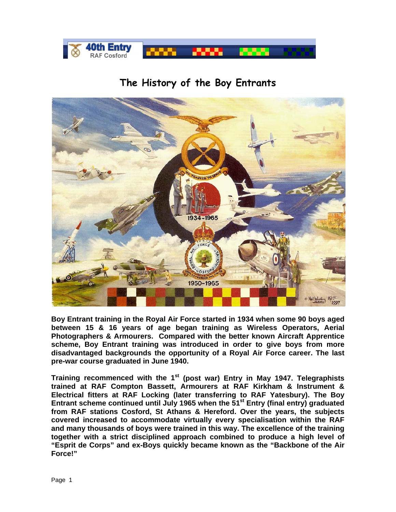

## **The History of the Boy Entrants**



**Boy Entrant training in the Royal Air Force started in 1934 when some 90 boys aged between 15 & 16 years of age began training as Wireless Operators, Aerial Photographers & Armourers. Compared with the better known Aircraft Apprentice scheme, Boy Entrant training was introduced in order to give boys from more disadvantaged backgrounds the opportunity of a Royal Air Force career. The last pre-war course graduated in June 1940.** 

**Training recommenced with the 1st (post war) Entry in May 1947. Telegraphists trained at RAF Compton Bassett, Armourers at RAF Kirkham & Instrument & Electrical fitters at RAF Locking (later transferring to RAF Yatesbury). The Boy**  Entrant scheme continued until July 1965 when the 51<sup>st</sup> Entry (final entry) graduated **from RAF stations Cosford, St Athans & Hereford. Over the years, the subjects covered increased to accommodate virtually every specialisation within the RAF and many thousands of boys were trained in this way. The excellence of the training together with a strict disciplined approach combined to produce a high level of "Esprit de Corps" and ex-Boys quickly became known as the "Backbone of the Air Force!"**